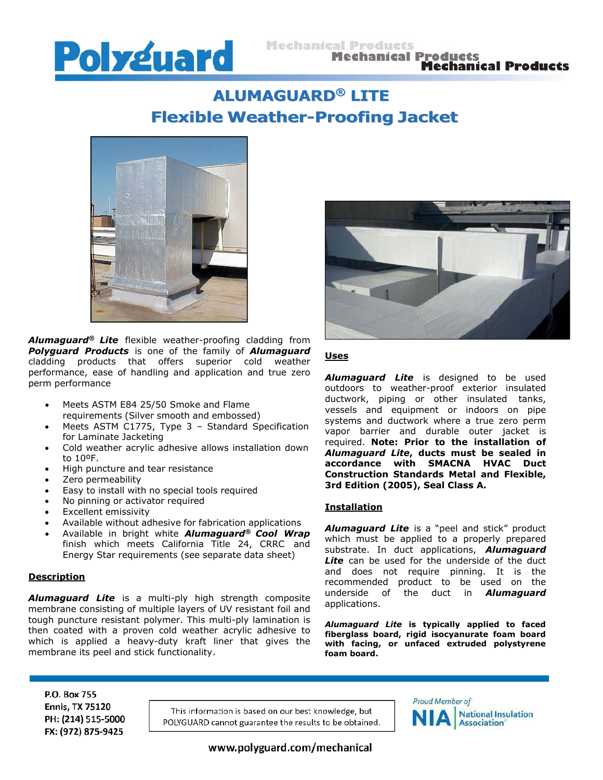

# **ALUMAGUARD ® LITE Flexible Weather-Proofing Jacket**



*Alumaguard® Lite* flexible weather-proofing cladding from *Polyguard Products* is one of the family of *Alumaguard* cladding products that offers superior cold weather performance, ease of handling and application and true zero perm performance

- Meets ASTM E84 25/50 Smoke and Flame requirements (Silver smooth and embossed)
- Meets ASTM C1775, Type 3 Standard Specification for Laminate Jacketing
- Cold weather acrylic adhesive allows installation down to 10ºF.
- High puncture and tear resistance
- Zero permeability
- Easy to install with no special tools required
- No pinning or activator required
- Excellent emissivity
- Available without adhesive for fabrication applications
- Available in bright white *Alumaguard® Cool Wrap* finish which meets California Title 24, CRRC and Energy Star requirements (see separate data sheet)

### **Description**

*Alumaguard Lite* is a multi-ply high strength composite membrane consisting of multiple layers of UV resistant foil and tough puncture resistant polymer. This multi-ply lamination is then coated with a proven cold weather acrylic adhesive to which is applied a heavy-duty kraft liner that gives the membrane its peel and stick functionality.



## **Uses**

*Alumaguard Lite* is designed to be used outdoors to weather-proof exterior insulated ductwork, piping or other insulated tanks, vessels and equipment or indoors on pipe systems and ductwork where a true zero perm vapor barrier and durable outer jacket is required. **Note: Prior to the installation of** *Alumaguard Lite***, ducts must be sealed in accordance with SMACNA HVAC Duct Construction Standards Metal and Flexible, 3rd Edition (2005), Seal Class A.**

#### **Installation**

*Alumaguard Lite* is a "peel and stick" product which must be applied to a properly prepared substrate. In duct applications, *Alumaguard* **Lite** can be used for the underside of the duct and does not require pinning. It is the recommended product to be used on the underside of the duct in *Alumaguard* applications.

*Alumaguard Lite* **is typically applied to faced fiberglass board, rigid isocyanurate foam board with facing, or unfaced extruded polystyrene foam board.**

P.O. Box 755 **Ennis, TX 75120** PH: (214) 515-5000 FX: (972) 875-9425

This information is based on our best knowledge, but POLYGUARD cannot guarantee the results to be obtained.



www.polyguard.com/mechanical